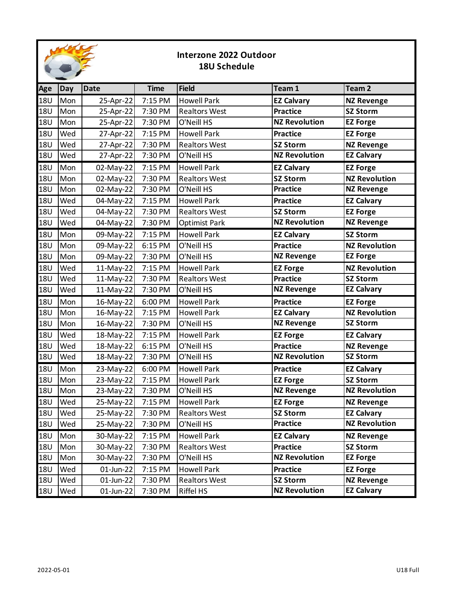

## **Interzone 2022 Outdoor 18U Schedule**

| Age        | <b>Day</b> | <b>Date</b> | <b>Time</b> | <b>Field</b>         | Team 1               | Team <sub>2</sub>    |
|------------|------------|-------------|-------------|----------------------|----------------------|----------------------|
| <b>18U</b> | Mon        | 25-Apr-22   | 7:15 PM     | <b>Howell Park</b>   | <b>EZ Calvary</b>    | <b>NZ Revenge</b>    |
| <b>18U</b> | Mon        | 25-Apr-22   | 7:30 PM     | <b>Realtors West</b> | <b>Practice</b>      | <b>SZ Storm</b>      |
| <b>18U</b> | Mon        | 25-Apr-22   | 7:30 PM     | O'Neill HS           | <b>NZ Revolution</b> | <b>EZ Forge</b>      |
| <b>18U</b> | Wed        | 27-Apr-22   | 7:15 PM     | <b>Howell Park</b>   | <b>Practice</b>      | <b>EZ Forge</b>      |
| <b>18U</b> | Wed        | 27-Apr-22   | 7:30 PM     | <b>Realtors West</b> | <b>SZ Storm</b>      | <b>NZ Revenge</b>    |
| <b>18U</b> | Wed        | 27-Apr-22   | 7:30 PM     | O'Neill HS           | <b>NZ Revolution</b> | <b>EZ Calvary</b>    |
| <b>18U</b> | Mon        | 02-May-22   | 7:15 PM     | <b>Howell Park</b>   | <b>EZ Calvary</b>    | <b>EZ Forge</b>      |
| <b>18U</b> | Mon        | 02-May-22   | 7:30 PM     | <b>Realtors West</b> | <b>SZ Storm</b>      | <b>NZ Revolution</b> |
| <b>18U</b> | Mon        | 02-May-22   | 7:30 PM     | O'Neill HS           | <b>Practice</b>      | <b>NZ Revenge</b>    |
| <b>18U</b> | Wed        | 04-May-22   | 7:15 PM     | <b>Howell Park</b>   | <b>Practice</b>      | <b>EZ Calvary</b>    |
| <b>18U</b> | Wed        | 04-May-22   | 7:30 PM     | <b>Realtors West</b> | <b>SZ Storm</b>      | <b>EZ Forge</b>      |
| <b>18U</b> | Wed        | 04-May-22   | 7:30 PM     | Optimist Park        | <b>NZ Revolution</b> | <b>NZ Revenge</b>    |
| <b>18U</b> | Mon        | 09-May-22   | 7:15 PM     | <b>Howell Park</b>   | <b>EZ Calvary</b>    | <b>SZ Storm</b>      |
| <b>18U</b> | Mon        | 09-May-22   | 6:15 PM     | O'Neill HS           | <b>Practice</b>      | <b>NZ Revolution</b> |
| <b>18U</b> | Mon        | 09-May-22   | 7:30 PM     | O'Neill HS           | <b>NZ Revenge</b>    | <b>EZ Forge</b>      |
| <b>18U</b> | Wed        | 11-May-22   | 7:15 PM     | <b>Howell Park</b>   | <b>EZ Forge</b>      | <b>NZ Revolution</b> |
| <b>18U</b> | Wed        | 11-May-22   | 7:30 PM     | <b>Realtors West</b> | <b>Practice</b>      | <b>SZ Storm</b>      |
| <b>18U</b> | Wed        | 11-May-22   | 7:30 PM     | O'Neill HS           | <b>NZ Revenge</b>    | <b>EZ Calvary</b>    |
| <b>18U</b> | Mon        | 16-May-22   | 6:00 PM     | <b>Howell Park</b>   | <b>Practice</b>      | <b>EZ Forge</b>      |
| <b>18U</b> | Mon        | 16-May-22   | 7:15 PM     | <b>Howell Park</b>   | <b>EZ Calvary</b>    | <b>NZ Revolution</b> |
| <b>18U</b> | Mon        | 16-May-22   | 7:30 PM     | O'Neill HS           | <b>NZ Revenge</b>    | <b>SZ Storm</b>      |
| <b>18U</b> | Wed        | 18-May-22   | 7:15 PM     | <b>Howell Park</b>   | <b>EZ Forge</b>      | <b>EZ Calvary</b>    |
| <b>18U</b> | Wed        | 18-May-22   | 6:15 PM     | O'Neill HS           | <b>Practice</b>      | <b>NZ Revenge</b>    |
| <b>18U</b> | Wed        | 18-May-22   | 7:30 PM     | O'Neill HS           | <b>NZ Revolution</b> | SZ Storm             |
| <b>18U</b> | Mon        | 23-May-22   | 6:00 PM     | <b>Howell Park</b>   | <b>Practice</b>      | <b>EZ Calvary</b>    |
| <b>18U</b> | Mon        | 23-May-22   | 7:15 PM     | <b>Howell Park</b>   | <b>EZ Forge</b>      | <b>SZ Storm</b>      |
| <b>18U</b> | Mon        | 23-May-22   | 7:30 PM     | O'Neill HS           | <b>NZ Revenge</b>    | <b>NZ Revolution</b> |
| <b>18U</b> | Wed        | 25-May-22   | 7:15 PM     | <b>Howell Park</b>   | <b>EZ Forge</b>      | <b>NZ Revenge</b>    |
| 18U        | Wed        | 25-May-22   | 7:30 PM     | <b>Realtors West</b> | <b>SZ Storm</b>      | <b>EZ Calvary</b>    |
| <b>18U</b> | Wed        | 25-May-22   | 7:30 PM     | O'Neill HS           | <b>Practice</b>      | <b>NZ Revolution</b> |
| <b>18U</b> | Mon        | 30-May-22   | 7:15 PM     | <b>Howell Park</b>   | <b>EZ Calvary</b>    | <b>NZ Revenge</b>    |
| <b>18U</b> | Mon        | 30-May-22   | 7:30 PM     | <b>Realtors West</b> | <b>Practice</b>      | <b>SZ Storm</b>      |
| <b>18U</b> | Mon        | 30-May-22   | 7:30 PM     | O'Neill HS           | <b>NZ Revolution</b> | <b>EZ Forge</b>      |
| <b>18U</b> | Wed        | 01-Jun-22   | 7:15 PM     | <b>Howell Park</b>   | Practice             | <b>EZ Forge</b>      |
| <b>18U</b> | Wed        | 01-Jun-22   | 7:30 PM     | <b>Realtors West</b> | <b>SZ Storm</b>      | <b>NZ Revenge</b>    |
| <b>18U</b> | Wed        | 01-Jun-22   | 7:30 PM     | Riffel HS            | <b>NZ Revolution</b> | <b>EZ Calvary</b>    |